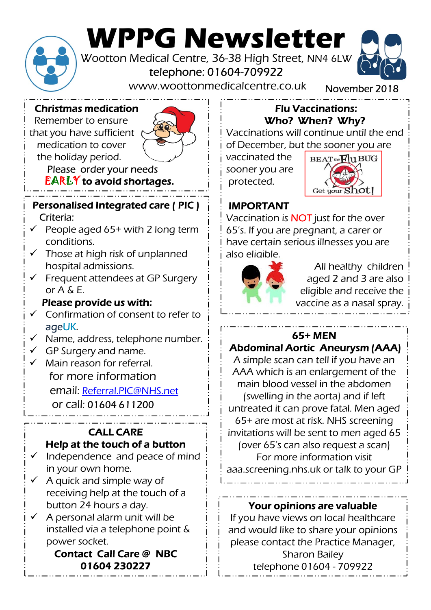

# WPPG Newsletter<br>Wootton Medical Centre, 36-38 High Street, NN4 6LW Wootton Medical Centre, 36-38 High Street, NN4 6LW<br>telephone: 01604-709922<br>www.woottonmedicalcentre.co.uk<br>redication<br>Flu Vaccinations:

telephone: 01604-709922



November 2018

Christmas medication

Remember to ensure that you have sufficient medication to cover the holiday period.



Please order your needs EARLY to avoid shortages.

#### Personalised Integrated care ( PIC ) Criteria:

- $\checkmark$  People aged 65+ with 2 long term conditions.
- $\checkmark$  Those at high risk of unplanned hospital admissions.
- Frequent attendees at GP Surgery or A & E.

#### Please provide us with:

- $\checkmark$  Confirmation of consent to refer to ageUK.
- $\checkmark$  Name, address, telephone number.
- $\checkmark$  GP Surgery and name.
- Main reason for referral. for more information email: Referral.PIC@NHS.net or call: 01604 611200

#### CALL CARE Help at the touch of a button

- $\checkmark$  Independence and peace of mind in your own home.
- A quick and simple way of receiving help at the touch of a button 24 hours a day.
- A personal alarm unit will be installed via a telephone point & power socket.

### Contact Call Care @ NBC

#### Flu Vaccinations: Who? When? Why?

Vaccinations will continue until the end of December, but the sooner you are

sooner you are



#### IMPORTANT

Vaccination is NOT just for the over 65's. If you are pregnant, a carer or have certain serious illnesses you are also eligible.



All healthy children aged 2 and 3 are also eligible and receive the vaccine as a nasal spray.

#### 65+ MEN

#### Abdominal Aortic Aneurysm (AAA)

In the abdomention<br>
welling in the aorta) and if left<br>
ated it can prove fatal. Men aged<br>
are most at risk. NHS screening<br>
tions will be sent to men aged 65<br>
er 65's can also request a scan)<br>
For more information visit<br>
re A simple scan can tell if you have an AAA which is an enlargement of the main blood vessel in the abdomen (swelling in the aorta) and if left untreated it can prove fatal. Men aged 65+ are most at risk. NHS screening invitations will be sent to men aged 65 (over 65's can also request a scan) For more information visit aaa.screening.nhs.uk or talk to your GP

#### Your opinions are valuable

If you have views on local healthcare and would like to share your opinions please contact the Practice Manager, Sharon Bailey **01604 230227**  $\qquad \qquad \vdots$  telephone 01604 - 709922